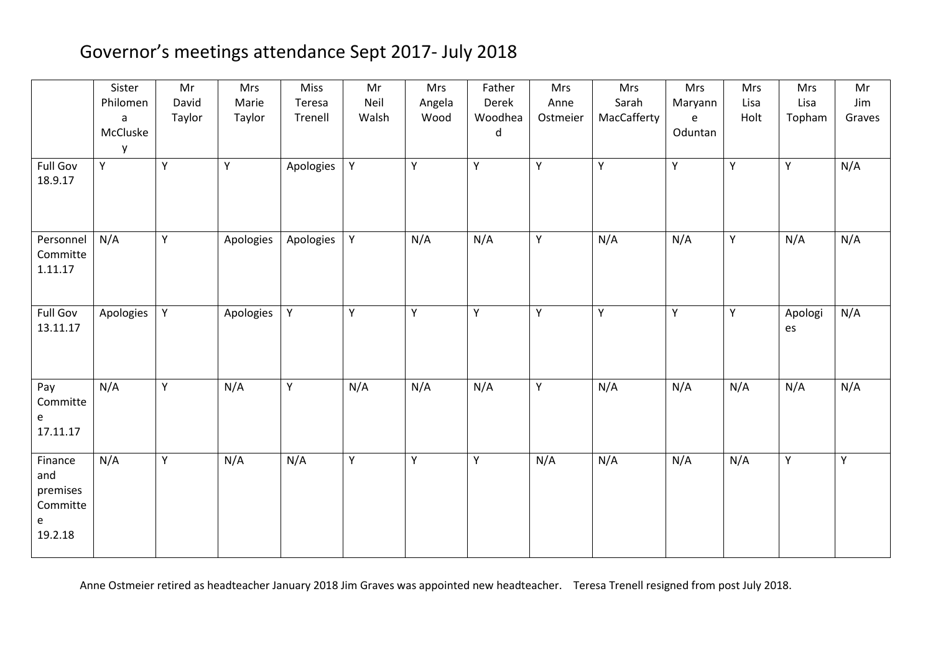## Governor's meetings attendance Sept 2017- July 2018

| Full Gov<br>18.9.17                                    | Sister<br>Philomen<br>$\mathsf{a}$<br>McCluske<br>y<br>Y | Mr<br>David<br>Taylor<br>Υ | Mrs<br>Marie<br>Taylor<br>Υ | Miss<br>Teresa<br>Trenell<br>Apologies | Mr<br>Neil<br>Walsh<br>Y | Mrs<br>Angela<br>Wood<br>Y | Father<br>Derek<br>Woodhea<br>d<br>Y | <b>Mrs</b><br>Anne<br>Ostmeier<br>Υ | Mrs<br>Sarah<br>MacCafferty<br>Y | Mrs<br>Maryann<br>e<br>Oduntan<br>Υ | Mrs<br>Lisa<br>Holt<br>Υ | Mrs<br>Lisa<br>Topham<br>Y | Mr<br>Jim<br>Graves<br>N/A |
|--------------------------------------------------------|----------------------------------------------------------|----------------------------|-----------------------------|----------------------------------------|--------------------------|----------------------------|--------------------------------------|-------------------------------------|----------------------------------|-------------------------------------|--------------------------|----------------------------|----------------------------|
| Personnel<br>Committe<br>1.11.17                       | N/A                                                      | Υ                          | Apologies                   | Apologies                              | Y                        | N/A                        | N/A                                  | Υ                                   | N/A                              | N/A                                 | Υ                        | N/A                        | N/A                        |
| Full Gov<br>13.11.17                                   | Apologies                                                | Y                          | Apologies                   | Y                                      | Υ                        | Υ                          | Y                                    | Υ                                   | Y                                | Υ                                   | Y                        | Apologi<br>es              | N/A                        |
| Pay<br>Committe<br>e<br>17.11.17                       | N/A                                                      | Y                          | N/A                         | Υ                                      | N/A                      | N/A                        | N/A                                  | Υ                                   | N/A                              | N/A                                 | N/A                      | N/A                        | N/A                        |
| Finance<br>and<br>premises<br>Committe<br>e<br>19.2.18 | N/A                                                      | Y                          | N/A                         | N/A                                    | Υ                        | Υ                          | Y                                    | N/A                                 | N/A                              | N/A                                 | N/A                      | Y                          | Y                          |

Anne Ostmeier retired as headteacher January 2018 Jim Graves was appointed new headteacher. Teresa Trenell resigned from post July 2018.